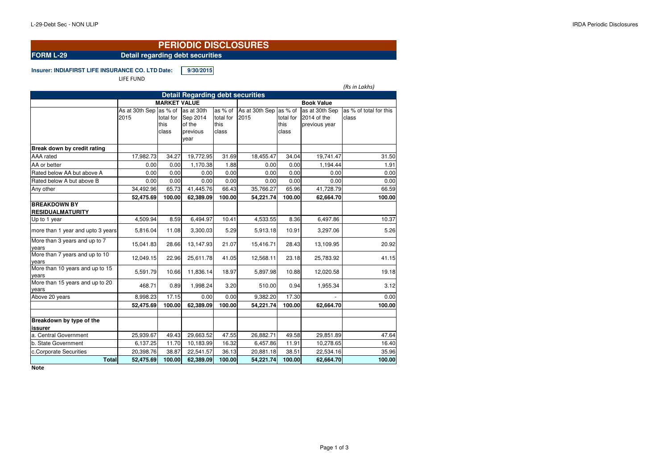#### **FORM L-29 Detail regarding debt securities**

**Insurer: INDIAFIRST LIFE INSURANCE CO. LTD.Date: 9/30/2015**

LIFE FUND

*(Rs in Lakhs)*As at 30th Sep  $|$ as % of  $|$ as at 30th 2015 total for this class Sep 2014 of the previous yearas % of total for  $2015$ this classAs at 30th Sep |as % of total for this classas at 30th Sep  $|$ as % of total for this 2014 of the previous yearclass**Break down by credit rating**AAA rated 17,982.73 34.27 19,772.95 31.69 18,455.47 34.0419,741.47 31.50<br>1.194.44 1.91 AA or better | 0.00| 0.00| 1,170.38| 1.88| 0.00| 0.00| 1,194.44| 1.91  $0.00$ Rated below AA but above A 0.00 0.00 0.00 0.00 0.00 0.00 0.00 0.00 $0.00$ Rated below A but above B 0.00 0.00 0.00 0.00 0.00 0.00 0.00 0.0066.59 Any other 34,492.96 65.73 41,445.76 66.43 35,766.27 65.9665.96 41,728.79 66.59<br>100.00 62,664.70 100.00 **52,475.69 100.00 62,389.09 100.00 54,221.74 100.00 62,664.70 100.00BREAKDOWN BY RESIDUALMATURITY**Up to 1 year 4,509.94 8.59 6,494.97 10.41 4,533.55 8.36 6,497.86 10.37more than 1 year and upto 3 years  $\vert$  5,816.04 | 11.08 | 3,300.03 | 5.29 | 5,913.18 | 10.91 | 3,297.06 | 5.26 More than 3 years and up to 7 years15,041.83 28.66 13,147.93 21.07 15,416.71 28.43 13,109.95 20.92 More than 7 years and up to 10 years12,049.15 22.96 25,611.78 41.05 12,568.11 23.18 25,783.92 41.15 25.783.92 More than 10 years and up to 15 years5,591.79 10.66 11,836.14 18.97 5,897.98 10.88 12,020.58 19.18<br>S More than 15 years and up to 20 years8
2011, 1,955.34
2011, 1,955.34
2011, 1,955.34
2011, 1,955.34
2011, 1,955.34
2011, 1,955.34
3.12 Above 20 years | 8,998.23| 17.15| 0.00| 0.00| 9,382.20| 17.30| - 0.00 100.00 **52,475.69 100.00 62,389.09 100.00 54,221.74 100.00 62,664.70 100.00Breakdown by type of the issurer** a. Central Government 25,939.67 49.43 29,663.52 47.55 26,882.71 49.58 29,851.89 47.6416.40 b. State Government 6,137.25 11.70 10,183.99 16.32 6,457.86 11.91 10,278.65 16.4035.96 c.Corporate Securities | 20,398.76 | 38.87 | 22,541.57 | 36.13 | 20,881.18 | 38.51 | 22,534.16 100.00 **Total 52,475.69 100.00 62,389.09 100.00 54,221.74 100.00 62,664.70 100.00Detail Regarding debt securitiesMARKET VALUEBook Value**

**Note**

### **PERIODIC DISCLOSURES**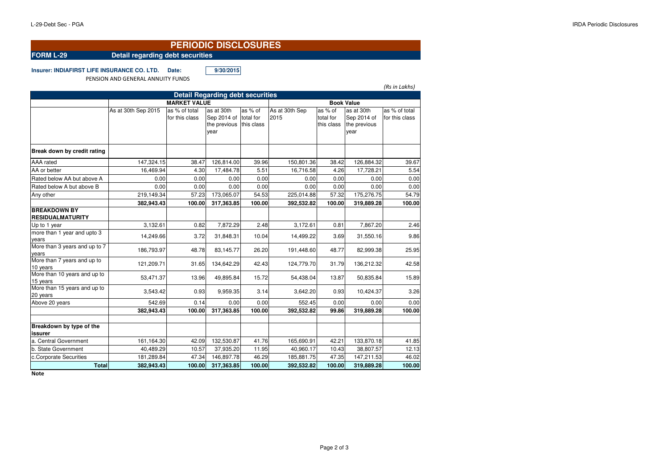### **FORM L-29 Detail regarding debt securities**

**Insurer: INDIAFIRST LIFE INSURANCE CO. LTD. Date: 9/30/2015**

PENSION AND GENERAL ANNUITY FUNDS

*(Rs in Lakhs)*

| <b>Detail Regarding debt securities</b>        |                     |                                 |                                                   |                                                 |                        |                                    |                                                   |                                 |  |  |  |  |  |
|------------------------------------------------|---------------------|---------------------------------|---------------------------------------------------|-------------------------------------------------|------------------------|------------------------------------|---------------------------------------------------|---------------------------------|--|--|--|--|--|
|                                                |                     | <b>Book Value</b>               |                                                   |                                                 |                        |                                    |                                                   |                                 |  |  |  |  |  |
|                                                | As at 30th Sep 2015 | as % of total<br>for this class | as at 30th<br>Sep 2014 of<br>the previous<br>vear | $\overline{as}$ % of<br>total for<br>this class | As at 30th Sep<br>2015 | as % of<br>total for<br>this class | as at 30th<br>Sep 2014 of<br>the previous<br>year | as % of total<br>for this class |  |  |  |  |  |
| Break down by credit rating                    |                     |                                 |                                                   |                                                 |                        |                                    |                                                   |                                 |  |  |  |  |  |
| AAA rated                                      | 147,324.15          | 38.47                           | 126,814.00                                        | 39.96                                           | 150,801.36             | 38.42                              | 126,884.32                                        | 39.67                           |  |  |  |  |  |
| AA or better                                   | 16,469.94           | 4.30                            | 17,484.78                                         | 5.51                                            | 16,716.58              | 4.26                               | 17,728.21                                         | 5.54                            |  |  |  |  |  |
| Rated below AA but above A                     | 0.00                | 0.00                            | 0.00                                              | 0.00                                            | 0.00                   | 0.00                               | 0.00                                              | 0.00                            |  |  |  |  |  |
| Rated below A but above B                      | 0.00                | 0.00                            | 0.00                                              | 0.00                                            | 0.00                   | 0.00                               | 0.00                                              | 0.00                            |  |  |  |  |  |
| Any other                                      | 219,149.34          | 57.23                           | 173,065.07                                        | 54.53                                           | 225,014.88             | 57.32                              | 175,276.75                                        | 54.79                           |  |  |  |  |  |
|                                                | 382,943.43          | 100.00                          | 317,363.85                                        | 100.00                                          | 392,532.82             | 100.00                             | 319,889.28                                        | 100.00                          |  |  |  |  |  |
| <b>BREAKDOWN BY</b><br><b>RESIDUALMATURITY</b> |                     |                                 |                                                   |                                                 |                        |                                    |                                                   |                                 |  |  |  |  |  |
| Up to 1 year                                   | 3,132.61            | 0.82                            | 7,872.29                                          | 2.48                                            | 3,172.61               | 0.81                               | 7,867.20                                          | 2.46                            |  |  |  |  |  |
| more than 1 year and upto 3<br>years           | 14,249.66           | 3.72                            | 31,848.31                                         | 10.04                                           | 14,499.22              | 3.69                               | 31,550.16                                         | 9.86                            |  |  |  |  |  |
| More than 3 years and up to 7<br>years         | 186,793.97          | 48.78                           | 83,145.77                                         | 26.20                                           | 191,448.60             | 48.77                              | 82,999.38                                         | 25.95                           |  |  |  |  |  |
| More than 7 years and up to<br>10 years        | 121,209.71          | 31.65                           | 134,642.29                                        | 42.43                                           | 124,779.70             | 31.79                              | 136,212.32                                        | 42.58                           |  |  |  |  |  |
| More than 10 years and up to<br>15 years       | 53,471.37           | 13.96                           | 49,895.84                                         | 15.72                                           | 54,438.04              | 13.87                              | 50,835.84                                         | 15.89                           |  |  |  |  |  |
| More than 15 years and up to<br>20 years       | 3,543.42            | 0.93                            | 9,959.35                                          | 3.14                                            | 3,642.20               | 0.93                               | 10,424.37                                         | 3.26                            |  |  |  |  |  |
| Above 20 years                                 | 542.69              | 0.14                            | 0.00                                              | 0.00                                            | 552.45                 | 0.00                               | 0.00                                              | 0.00                            |  |  |  |  |  |
|                                                | 382,943.43          | 100.00                          | 317,363.85                                        | 100.00                                          | 392,532.82             | 99.86                              | 319,889.28                                        | 100.00                          |  |  |  |  |  |
| Breakdown by type of the<br>issurer            |                     |                                 |                                                   |                                                 |                        |                                    |                                                   |                                 |  |  |  |  |  |
| a. Central Government                          | 161,164.30          | 42.09                           | 132,530.87                                        | 41.76                                           | 165,690.91             | 42.21                              | 133,870.18                                        | 41.85                           |  |  |  |  |  |
| b. State Government                            | 40,489.29           | 10.57                           | 37,935.20                                         | 11.95                                           | 40,960.17              | 10.43                              | 38,807.57                                         | 12.13                           |  |  |  |  |  |
| c.Corporate Securities                         | 181,289.84          | 47.34                           | 146,897.78                                        | 46.29                                           | 185,881.75             | 47.35                              | 147,211.53                                        | 46.02                           |  |  |  |  |  |
| <b>Total</b>                                   | 382,943.43          | 100.00                          | 317,363.85                                        | 100.00                                          | 392,532.82             | 100.00                             | 319,889.28                                        | 100.00                          |  |  |  |  |  |

**Note**

# **PERIODIC DISCLOSURES**